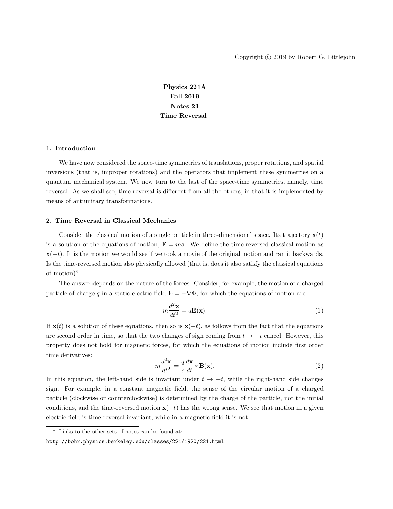Physics 221A Fall 2019 Notes 21 Time Reversal†

### 1. Introduction

We have now considered the space-time symmetries of translations, proper rotations, and spatial inversions (that is, improper rotations) and the operators that implement these symmetries on a quantum mechanical system. We now turn to the last of the space-time symmetries, namely, time reversal. As we shall see, time reversal is different from all the others, in that it is implemented by means of antiunitary transformations.

### 2. Time Reversal in Classical Mechanics

Consider the classical motion of a single particle in three-dimensional space. Its trajectory  $\mathbf{x}(t)$ is a solution of the equations of motion,  $\mathbf{F} = m\mathbf{a}$ . We define the time-reversed classical motion as  $\mathbf{x}(-t)$ . It is the motion we would see if we took a movie of the original motion and ran it backwards. Is the time-reversed motion also physically allowed (that is, does it also satisfy the classical equations of motion)?

The answer depends on the nature of the forces. Consider, for example, the motion of a charged particle of charge q in a static electric field  $\mathbf{E} = -\nabla \Phi$ , for which the equations of motion are

$$
m\frac{d^2\mathbf{x}}{dt^2} = q\mathbf{E}(\mathbf{x}).\tag{1}
$$

If  $\mathbf{x}(t)$  is a solution of these equations, then so is  $\mathbf{x}(-t)$ , as follows from the fact that the equations are second order in time, so that the two changes of sign coming from  $t \to -t$  cancel. However, this property does not hold for magnetic forces, for which the equations of motion include first order time derivatives:

$$
m\frac{d^2\mathbf{x}}{dt^2} = \frac{q}{c}\frac{d\mathbf{x}}{dt} \times \mathbf{B}(\mathbf{x}).
$$
\n(2)

In this equation, the left-hand side is invariant under  $t \to -t$ , while the right-hand side changes sign. For example, in a constant magnetic field, the sense of the circular motion of a charged particle (clockwise or counterclockwise) is determined by the charge of the particle, not the initial conditions, and the time-reversed motion  $x(-t)$  has the wrong sense. We see that motion in a given electric field is time-reversal invariant, while in a magnetic field it is not.

<sup>†</sup> Links to the other sets of notes can be found at:

http://bohr.physics.berkeley.edu/classes/221/1920/221.html.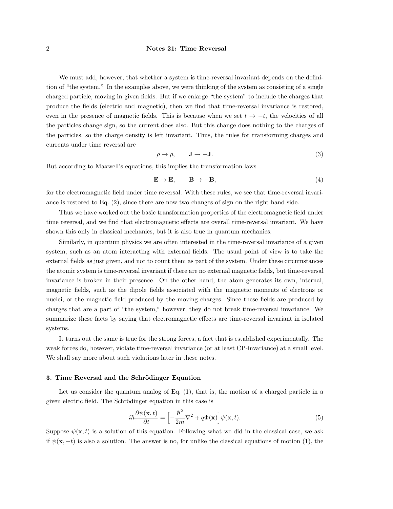We must add, however, that whether a system is time-reversal invariant depends on the definition of "the system." In the examples above, we were thinking of the system as consisting of a single charged particle, moving in given fields. But if we enlarge "the system" to include the charges that produce the fields (electric and magnetic), then we find that time-reversal invariance is restored, even in the presence of magnetic fields. This is because when we set  $t \to -t$ , the velocities of all the particles change sign, so the current does also. But this change does nothing to the charges of the particles, so the charge density is left invariant. Thus, the rules for transforming charges and currents under time reversal are

$$
\rho \to \rho, \qquad J \to -J. \tag{3}
$$

But according to Maxwell's equations, this implies the transformation laws

$$
\mathbf{E} \to \mathbf{E}, \qquad \mathbf{B} \to -\mathbf{B}, \tag{4}
$$

for the electromagnetic field under time reversal. With these rules, we see that time-reversal invariance is restored to Eq. (2), since there are now two changes of sign on the right hand side.

Thus we have worked out the basic transformation properties of the electromagnetic field under time reversal, and we find that electromagnetic effects are overall time-reversal invariant. We have shown this only in classical mechanics, but it is also true in quantum mechanics.

Similarly, in quantum physics we are often interested in the time-reversal invariance of a given system, such as an atom interacting with external fields. The usual point of view is to take the external fields as just given, and not to count them as part of the system. Under these circumstances the atomic system is time-reversal invariant if there are no external magnetic fields, but time-reversal invariance is broken in their presence. On the other hand, the atom generates its own, internal, magnetic fields, such as the dipole fields associated with the magnetic moments of electrons or nuclei, or the magnetic field produced by the moving charges. Since these fields are produced by charges that are a part of "the system," however, they do not break time-reversal invariance. We summarize these facts by saying that electromagnetic effects are time-reversal invariant in isolated systems.

It turns out the same is true for the strong forces, a fact that is established experimentally. The weak forces do, however, violate time-reversal invariance (or at least CP-invariance) at a small level. We shall say more about such violations later in these notes.

## 3. Time Reversal and the Schrödinger Equation

Let us consider the quantum analog of Eq.  $(1)$ , that is, the motion of a charged particle in a given electric field. The Schrödinger equation in this case is

$$
i\hbar \frac{\partial \psi(\mathbf{x},t)}{\partial t} = \left[ -\frac{\hbar^2}{2m} \nabla^2 + q\Phi(\mathbf{x}) \right] \psi(\mathbf{x},t). \tag{5}
$$

Suppose  $\psi(\mathbf{x},t)$  is a solution of this equation. Following what we did in the classical case, we ask if  $\psi(\mathbf{x}, -t)$  is also a solution. The answer is no, for unlike the classical equations of motion (1), the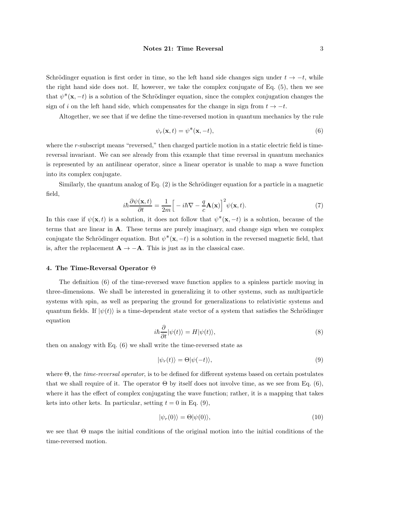Schrödinger equation is first order in time, so the left hand side changes sign under  $t \to -t$ , while the right hand side does not. If, however, we take the complex conjugate of Eq. (5), then we see that  $\psi^*(\mathbf{x}, -t)$  is a solution of the Schrödinger equation, since the complex conjugation changes the sign of i on the left hand side, which compensates for the change in sign from  $t \to -t$ .

Altogether, we see that if we define the time-reversed motion in quantum mechanics by the rule

$$
\psi_r(\mathbf{x},t) = \psi^*(\mathbf{x},-t),\tag{6}
$$

where the r-subscript means "reversed," then charged particle motion in a static electric field is timereversal invariant. We can see already from this example that time reversal in quantum mechanics is represented by an antilinear operator, since a linear operator is unable to map a wave function into its complex conjugate.

Similarly, the quantum analog of Eq.  $(2)$  is the Schrödinger equation for a particle in a magnetic field,

$$
i\hbar \frac{\partial \psi(\mathbf{x},t)}{\partial t} = \frac{1}{2m} \Big[ -i\hbar \nabla - \frac{q}{c} \mathbf{A}(\mathbf{x}) \Big]^2 \psi(\mathbf{x},t). \tag{7}
$$

In this case if  $\psi(\mathbf{x},t)$  is a solution, it does not follow that  $\psi^*(\mathbf{x},-t)$  is a solution, because of the terms that are linear in A. These terms are purely imaginary, and change sign when we complex conjugate the Schrödinger equation. But  $\psi^*(\mathbf{x}, -t)$  is a solution in the reversed magnetic field, that is, after the replacement  $\mathbf{A} \rightarrow -\mathbf{A}$ . This is just as in the classical case.

### 4. The Time-Reversal Operator Θ

The definition (6) of the time-reversed wave function applies to a spinless particle moving in three-dimensions. We shall be interested in generalizing it to other systems, such as multiparticle systems with spin, as well as preparing the ground for generalizations to relativistic systems and quantum fields. If  $|\psi(t)\rangle$  is a time-dependent state vector of a system that satisfies the Schrödinger equation

$$
i\hbar \frac{\partial}{\partial t} |\psi(t)\rangle = H |\psi(t)\rangle,\tag{8}
$$

then on analogy with Eq. (6) we shall write the time-reversed state as

$$
|\psi_r(t)\rangle = \Theta|\psi(-t)\rangle,\tag{9}
$$

where Θ, the time-reversal operator, is to be defined for different systems based on certain postulates that we shall require of it. The operator  $\Theta$  by itself does not involve time, as we see from Eq. (6), where it has the effect of complex conjugating the wave function; rather, it is a mapping that takes kets into other kets. In particular, setting  $t = 0$  in Eq. (9),

$$
|\psi_r(0)\rangle = \Theta |\psi(0)\rangle, \tag{10}
$$

we see that Θ maps the initial conditions of the original motion into the initial conditions of the time-reversed motion.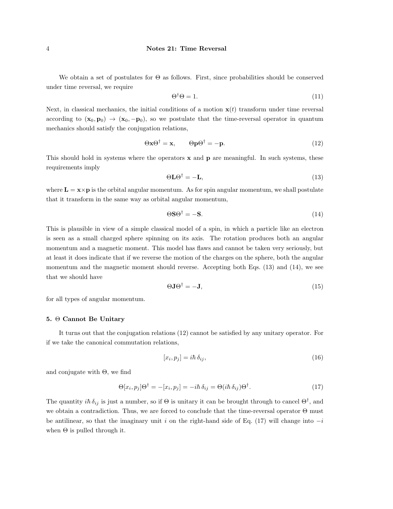We obtain a set of postulates for  $\Theta$  as follows. First, since probabilities should be conserved under time reversal, we require

$$
\Theta^{\dagger}\Theta = 1. \tag{11}
$$

Next, in classical mechanics, the initial conditions of a motion  $x(t)$  transform under time reversal according to  $(\mathbf{x}_0, \mathbf{p}_0) \rightarrow (\mathbf{x}_0, -\mathbf{p}_0)$ , so we postulate that the time-reversal operator in quantum mechanics should satisfy the conjugation relations,

$$
\Theta \mathbf{x} \Theta^{\dagger} = \mathbf{x}, \qquad \Theta \mathbf{p} \Theta^{\dagger} = -\mathbf{p}.
$$
 (12)

This should hold in systems where the operators  $x$  and  $p$  are meaningful. In such systems, these requirements imply

$$
\Theta \mathbf{L} \Theta^{\dagger} = -\mathbf{L},\tag{13}
$$

where  $\mathbf{L} = \mathbf{x} \times \mathbf{p}$  is the orbital angular momentum. As for spin angular momentum, we shall postulate that it transform in the same way as orbital angular momentum,

$$
\Theta \mathbf{S} \Theta^{\dagger} = -\mathbf{S}.\tag{14}
$$

This is plausible in view of a simple classical model of a spin, in which a particle like an electron is seen as a small charged sphere spinning on its axis. The rotation produces both an angular momentum and a magnetic moment. This model has flaws and cannot be taken very seriously, but at least it does indicate that if we reverse the motion of the charges on the sphere, both the angular momentum and the magnetic moment should reverse. Accepting both Eqs. (13) and (14), we see that we should have

$$
\Theta \mathbf{J} \Theta^{\dagger} = -\mathbf{J},\tag{15}
$$

for all types of angular momentum.

### 5. Θ Cannot Be Unitary

It turns out that the conjugation relations (12) cannot be satisfied by any unitary operator. For if we take the canonical commutation relations,

$$
[x_i, p_j] = i\hbar \,\delta_{ij},\tag{16}
$$

and conjugate with  $\Theta$ , we find

$$
\Theta[x_i, p_j] \Theta^{\dagger} = -[x_i, p_j] = -i\hbar \, \delta_{ij} = \Theta(i\hbar \, \delta_{ij}) \Theta^{\dagger}.
$$
 (17)

The quantity  $i\hbar \delta_{ij}$  is just a number, so if  $\Theta$  is unitary it can be brought through to cancel  $\Theta^{\dagger}$ , and we obtain a contradiction. Thus, we are forced to conclude that the time-reversal operator Θ must be antilinear, so that the imaginary unit i on the right-hand side of Eq. (17) will change into  $-i$ when  $\Theta$  is pulled through it.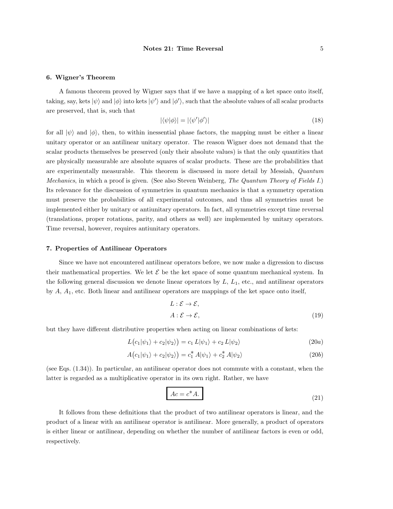#### 6. Wigner's Theorem

A famous theorem proved by Wigner says that if we have a mapping of a ket space onto itself, taking, say, kets  $|\psi\rangle$  and  $|\phi\rangle$  into kets  $|\psi'\rangle$  and  $|\phi'\rangle$ , such that the absolute values of all scalar products are preserved, that is, such that

$$
|\langle \psi | \phi \rangle| = |\langle \psi' | \phi' \rangle| \tag{18}
$$

for all  $|\psi\rangle$  and  $|\phi\rangle$ , then, to within inessential phase factors, the mapping must be either a linear unitary operator or an antilinear unitary operator. The reason Wigner does not demand that the scalar products themselves be preserved (only their absolute values) is that the only quantities that are physically measurable are absolute squares of scalar products. These are the probabilities that are experimentally measurable. This theorem is discussed in more detail by Messiah, Quantum Mechanics, in which a proof is given. (See also Steven Weinberg, The Quantum Theory of Fields I.) Its relevance for the discussion of symmetries in quantum mechanics is that a symmetry operation must preserve the probabilities of all experimental outcomes, and thus all symmetries must be implemented either by unitary or antiunitary operators. In fact, all symmetries except time reversal (translations, proper rotations, parity, and others as well) are implemented by unitary operators. Time reversal, however, requires antiunitary operators.

#### 7. Properties of Antilinear Operators

Since we have not encountered antilinear operators before, we now make a digression to discuss their mathematical properties. We let  $\mathcal E$  be the ket space of some quantum mechanical system. In the following general discussion we denote linear operators by  $L$ ,  $L_1$ , etc., and antilinear operators by  $A$ ,  $A_1$ , etc. Both linear and antilinear operators are mappings of the ket space onto itself,

$$
L: \mathcal{E} \to \mathcal{E},
$$
  

$$
A: \mathcal{E} \to \mathcal{E},
$$
 (19)

but they have different distributive properties when acting on linear combinations of kets:

$$
L(c_1|\psi_1\rangle + c_2|\psi_2\rangle) = c_1 L|\psi_1\rangle + c_2 L|\psi_2\rangle
$$
\n(20*a*)

$$
A(c_1|\psi_1\rangle + c_2|\psi_2\rangle) = c_1^* A|\psi_1\rangle + c_2^* A|\psi_2\rangle
$$
\n(20b)

(see Eqs. (1.34)). In particular, an antilinear operator does not commute with a constant, when the latter is regarded as a multiplicative operator in its own right. Rather, we have

$$
Ac = c^*A.
$$
 (21)

It follows from these definitions that the product of two antilinear operators is linear, and the product of a linear with an antilinear operator is antilinear. More generally, a product of operators is either linear or antilinear, depending on whether the number of antilinear factors is even or odd, respectively.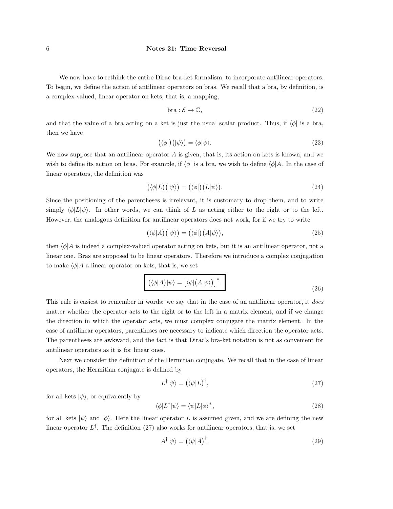We now have to rethink the entire Dirac bra-ket formalism, to incorporate antilinear operators. To begin, we define the action of antilinear operators on bras. We recall that a bra, by definition, is a complex-valued, linear operator on kets, that is, a mapping,

$$
bra: \mathcal{E} \to \mathbb{C}, \tag{22}
$$

and that the value of a bra acting on a ket is just the usual scalar product. Thus, if  $\langle \phi |$  is a bra, then we have

$$
(\langle \phi | \rangle (|\psi \rangle) = \langle \phi | \psi \rangle. \tag{23}
$$

We now suppose that an antilinear operator  $A$  is given, that is, its action on kets is known, and we wish to define its action on bras. For example, if  $\langle \phi |$  is a bra, we wish to define  $\langle \phi |A$ . In the case of linear operators, the definition was

$$
(\langle \phi | L) (\vert \psi \rangle) = (\langle \phi |) (L \vert \psi \rangle). \tag{24}
$$

Since the positioning of the parentheses is irrelevant, it is customary to drop them, and to write simply  $\langle \phi | L | \psi \rangle$ . In other words, we can think of L as acting either to the right or to the left. However, the analogous definition for antilinear operators does not work, for if we try to write

$$
(\langle \phi | A \rangle (|\psi \rangle) = (\langle \phi |) (A | \psi \rangle), \tag{25}
$$

then  $\langle \phi | A$  is indeed a complex-valued operator acting on kets, but it is an antilinear operator, not a linear one. Bras are supposed to be linear operators. Therefore we introduce a complex conjugation to make  $\langle \phi | A$  a linear operator on kets, that is, we set

$$
(\langle \phi | A) | \psi \rangle = [ \langle \phi | (A | \psi \rangle ) ]^*.
$$
 (26)

This rule is easiest to remember in words: we say that in the case of an antilinear operator, it does matter whether the operator acts to the right or to the left in a matrix element, and if we change the direction in which the operator acts, we must complex conjugate the matrix element. In the case of antilinear operators, parentheses are necessary to indicate which direction the operator acts. The parentheses are awkward, and the fact is that Dirac's bra-ket notation is not as convenient for antilinear operators as it is for linear ones.

Next we consider the definition of the Hermitian conjugate. We recall that in the case of linear operators, the Hermitian conjugate is defined by

$$
L^{\dagger}|\psi\rangle = (\langle \psi|L)^{\dagger},\tag{27}
$$

for all kets  $|\psi\rangle$ , or equivalently by

$$
\langle \phi | L^{\dagger} | \psi \rangle = \langle \psi | L | \phi \rangle^*,\tag{28}
$$

for all kets  $|\psi\rangle$  and  $|\phi\rangle$ . Here the linear operator L is assumed given, and we are defining the new linear operator  $L^{\dagger}$ . The definition (27) also works for antilinear operators, that is, we set

$$
A^{\dagger}|\psi\rangle = (\langle \psi|A)^{\dagger}.
$$
 (29)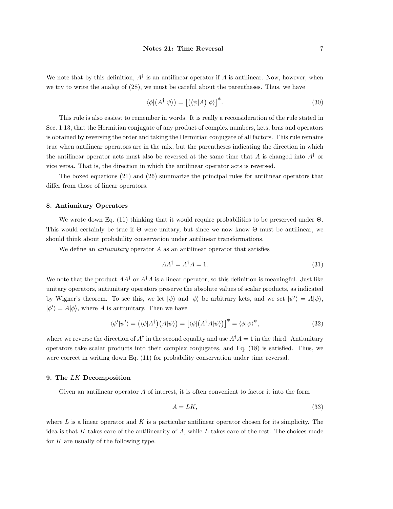We note that by this definition,  $A^{\dagger}$  is an antilinear operator if A is antilinear. Now, however, when we try to write the analog of (28), we must be careful about the parentheses. Thus, we have

$$
\langle \phi | \left( A^{\dagger} | \psi \rangle \right) = \left[ \left( \langle \psi | A \rangle | \phi \rangle \right]^* . \tag{30}
$$

This rule is also easiest to remember in words. It is really a reconsideration of the rule stated in Sec. 1.13, that the Hermitian conjugate of any product of complex numbers, kets, bras and operators is obtained by reversing the order and taking the Hermitian conjugate of all factors. This rule remains true when antilinear operators are in the mix, but the parentheses indicating the direction in which the antilinear operator acts must also be reversed at the same time that  $A$  is changed into  $A^{\dagger}$  or vice versa. That is, the direction in which the antilinear operator acts is reversed.

The boxed equations (21) and (26) summarize the principal rules for antilinear operators that differ from those of linear operators.

## 8. Antiunitary Operators

We wrote down Eq. (11) thinking that it would require probabilities to be preserved under Θ. This would certainly be true if  $\Theta$  were unitary, but since we now know  $\Theta$  must be antilinear, we should think about probability conservation under antilinear transformations.

We define an *antiunitary* operator  $\vec{A}$  as an antilinear operator that satisfies

$$
AA^{\dagger} = A^{\dagger}A = 1. \tag{31}
$$

We note that the product  $AA^{\dagger}$  or  $A^{\dagger}A$  is a linear operator, so this definition is meaningful. Just like unitary operators, antiunitary operators preserve the absolute values of scalar products, as indicated by Wigner's theorem. To see this, we let  $|\psi\rangle$  and  $|\phi\rangle$  be arbitrary kets, and we set  $|\psi'\rangle = A|\psi\rangle$ ,  $|\phi'\rangle = A|\phi\rangle$ , where A is antiunitary. Then we have

$$
\langle \phi' | \psi' \rangle = (\langle \phi | A^{\dagger} \rangle (A | \psi \rangle) = [\langle \phi | (A^{\dagger} A | \psi \rangle)]^* = \langle \phi | \psi \rangle^*, \tag{32}
$$

where we reverse the direction of  $A^{\dagger}$  in the second equality and use  $A^{\dagger}A = 1$  in the third. Antiunitary operators take scalar products into their complex conjugates, and Eq. (18) is satisfied. Thus, we were correct in writing down Eq. (11) for probability conservation under time reversal.

### 9. The LK Decomposition

Given an antilinear operator A of interest, it is often convenient to factor it into the form

$$
A = LK,\tag{33}
$$

where L is a linear operator and K is a particular antilinear operator chosen for its simplicity. The idea is that K takes care of the antilinearity of  $A$ , while  $L$  takes care of the rest. The choices made for  $K$  are usually of the following type.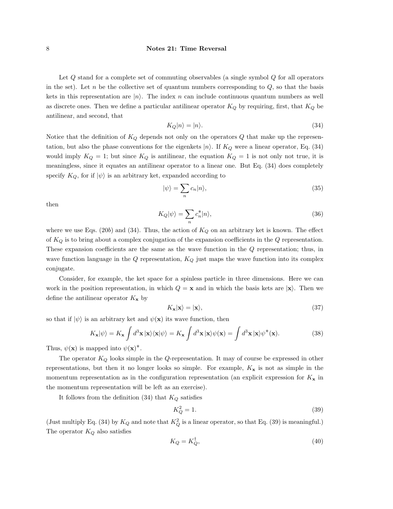Let  $Q$  stand for a complete set of commuting observables (a single symbol  $Q$  for all operators in the set). Let n be the collective set of quantum numbers corresponding to  $Q$ , so that the basis kets in this representation are  $|n\rangle$ . The index n can include continuous quantum numbers as well as discrete ones. Then we define a particular antilinear operator  $K_Q$  by requiring, first, that  $K_Q$  be antilinear, and second, that

$$
K_Q|n\rangle = |n\rangle. \tag{34}
$$

Notice that the definition of  $K_Q$  depends not only on the operators  $Q$  that make up the representation, but also the phase conventions for the eigenkets  $|n\rangle$ . If  $K_Q$  were a linear operator, Eq. (34) would imply  $K_Q = 1$ ; but since  $K_Q$  is antilinear, the equation  $K_Q = 1$  is not only not true, it is meaningless, since it equates an antilinear operator to a linear one. But Eq. (34) does completely specify  $K_Q$ , for if  $|\psi\rangle$  is an arbitrary ket, expanded according to

$$
|\psi\rangle = \sum_{n} c_n |n\rangle,\tag{35}
$$

then

$$
K_Q|\psi\rangle = \sum_n c_n^*|n\rangle,\tag{36}
$$

where we use Eqs. (20b) and (34). Thus, the action of  $K_Q$  on an arbitrary ket is known. The effect of  $K_Q$  is to bring about a complex conjugation of the expansion coefficients in the  $Q$  representation. These expansion coefficients are the same as the wave function in the Q representation; thus, in wave function language in the Q representation,  $K_Q$  just maps the wave function into its complex conjugate.

Consider, for example, the ket space for a spinless particle in three dimensions. Here we can work in the position representation, in which  $Q = x$  and in which the basis kets are  $|x\rangle$ . Then we define the antilinear operator  $K_{\mathbf{x}}$  by

$$
K_{\mathbf{x}}|\mathbf{x}\rangle = |\mathbf{x}\rangle,\tag{37}
$$

so that if  $|\psi\rangle$  is an arbitrary ket and  $\psi(\mathbf{x})$  its wave function, then

$$
K_{\mathbf{x}}|\psi\rangle = K_{\mathbf{x}} \int d^3 \mathbf{x} \, |\mathbf{x}\rangle\langle\mathbf{x}|\psi\rangle = K_{\mathbf{x}} \int d^3 \mathbf{x} \, |\mathbf{x}\rangle\psi(\mathbf{x}) = \int d^3 \mathbf{x} \, |\mathbf{x}\rangle\psi^*(\mathbf{x}).\tag{38}
$$

Thus,  $\psi(\mathbf{x})$  is mapped into  $\psi(\mathbf{x})^*$ .

The operator  $K_Q$  looks simple in the Q-representation. It may of course be expressed in other representations, but then it no longer looks so simple. For example,  $K_{\mathbf{x}}$  is not as simple in the momentum representation as in the configuration representation (an explicit expression for  $K_{\mathbf{x}}$  in the momentum representation will be left as an exercise).

It follows from the definition  $(34)$  that  $K_Q$  satisfies

$$
K_Q^2 = 1.\t\t(39)
$$

(Just multiply Eq. (34) by  $K_Q$  and note that  $K_Q^2$  is a linear operator, so that Eq. (39) is meaningful.) The operator  $K_Q$  also satisfies

$$
K_Q = K_Q^{\dagger},\tag{40}
$$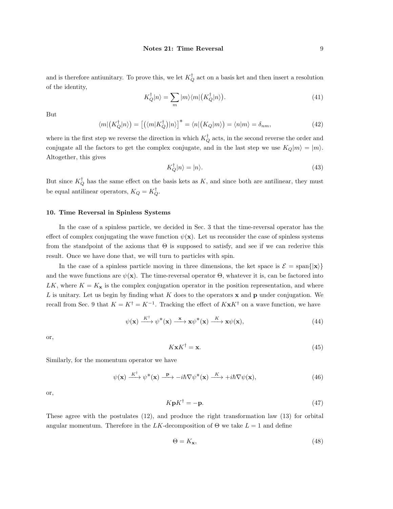and is therefore antiunitary. To prove this, we let  $K_Q^{\dagger}$  act on a basis ket and then insert a resolution of the identity,

$$
K_Q^{\dagger}|n\rangle = \sum_m |m\rangle\langle m|\left(K_Q^{\dagger}|n\rangle\right). \tag{41}
$$

But

$$
\langle m | \left( K_Q^{\dagger} | n \rangle \right) = \left[ \left( \langle m | K_Q^{\dagger} \rangle | n \rangle \right]^* = \langle n | \left( K_Q | m \rangle \right) = \langle n | m \rangle = \delta_{nm}, \tag{42}
$$

where in the first step we reverse the direction in which  $K_Q^{\dagger}$  acts, in the second reverse the order and conjugate all the factors to get the complex conjugate, and in the last step we use  $K_Q|m\rangle = |m\rangle$ . Altogether, this gives

$$
K_Q^{\dagger} |n\rangle = |n\rangle. \tag{43}
$$

But since  $K_Q^{\dagger}$  has the same effect on the basis kets as K, and since both are antilinear, they must be equal antilinear operators,  $K_Q = K_Q^{\dagger}$ .

### 10. Time Reversal in Spinless Systems

In the case of a spinless particle, we decided in Sec. 3 that the time-reversal operator has the effect of complex conjugating the wave function  $\psi(\mathbf{x})$ . Let us reconsider the case of spinless systems from the standpoint of the axioms that  $\Theta$  is supposed to satisfy, and see if we can rederive this result. Once we have done that, we will turn to particles with spin.

In the case of a spinless particle moving in three dimensions, the ket space is  $\mathcal{E} = \text{span}\{|\mathbf{x}\rangle\}$ and the wave functions are  $\psi(\mathbf{x})$ . The time-reversal operator  $\Theta$ , whatever it is, can be factored into LK, where  $K = K_{\mathbf{x}}$  is the complex conjugation operator in the position representation, and where L is unitary. Let us begin by finding what  $K$  does to the operators  $x$  and  $p$  under conjugation. We recall from Sec. 9 that  $K = K^{\dagger} = K^{-1}$ . Tracking the effect of  $K \times K^{\dagger}$  on a wave function, we have

$$
\psi(\mathbf{x}) \xrightarrow{K^{\dagger}} \psi^*(\mathbf{x}) \xrightarrow{\mathbf{x}} \mathbf{x} \psi^*(\mathbf{x}) \xrightarrow{K} \mathbf{x} \psi(\mathbf{x}), \tag{44}
$$

or,

$$
K \mathbf{x} K^{\dagger} = \mathbf{x}.\tag{45}
$$

Similarly, for the momentum operator we have

$$
\psi(\mathbf{x}) \xrightarrow{K^{\dagger}} \psi^*(\mathbf{x}) \xrightarrow{\mathbf{p}} -i\hbar \nabla \psi^*(\mathbf{x}) \xrightarrow{K} +i\hbar \nabla \psi(\mathbf{x}), \tag{46}
$$

or,

$$
K \mathbf{p} K^{\dagger} = -\mathbf{p}.\tag{47}
$$

These agree with the postulates (12), and produce the right transformation law (13) for orbital angular momentum. Therefore in the LK-decomposition of  $\Theta$  we take  $L = 1$  and define

$$
\Theta = K_{\mathbf{x}},\tag{48}
$$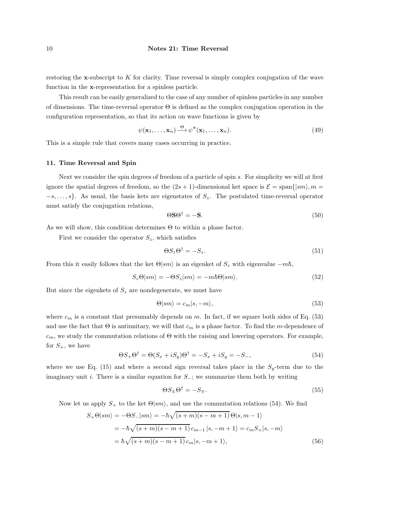restoring the x-subscript to  $K$  for clarity. Time reversal is simply complex conjugation of the wave function in the x-representation for a spinless particle.

This result can be easily generalized to the case of any number of spinless particles in any number of dimensions. The time-reversal operator  $\Theta$  is defined as the complex conjugation operation in the configuration representation, so that its action on wave functions is given by

$$
\psi(\mathbf{x}_1,\ldots,\mathbf{x}_n)\stackrel{\Theta}{\longrightarrow}\psi^*(\mathbf{x}_1,\ldots,\mathbf{x}_n). \tag{49}
$$

This is a simple rule that covers many cases occurring in practice.

## 11. Time Reversal and Spin

Next we consider the spin degrees of freedom of a particle of spin s. For simplicity we will at first ignore the spatial degrees of freedom, so the  $(2s + 1)$ -dimensional ket space is  $\mathcal{E} = \text{span}\{|sm\rangle, m =$  $-s, \ldots, s$ . As usual, the basis kets are eigenstates of  $S_z$ . The postulated time-reversal operator must satisfy the conjugation relations,

$$
\Theta \mathbf{S} \Theta^\dagger = -\mathbf{S}.\tag{50}
$$

As we will show, this condition determines Θ to within a phase factor.

First we consider the operator  $S_z$ , which satisfies

$$
\Theta S_z \Theta^{\dagger} = -S_z. \tag{51}
$$

From this it easily follows that the ket  $\Theta|sm\rangle$  is an eigenket of  $S_z$  with eigenvalue  $-m\hbar$ ,

$$
S_z \Theta |sm\rangle = -\Theta S_z |sm\rangle = -m\hbar \Theta |sm\rangle. \tag{52}
$$

But since the eigenkets of  $S_z$  are nondegenerate, we must have

$$
\Theta|sm\rangle = c_m|s, -m\rangle,\tag{53}
$$

where  $c_m$  is a constant that presumably depends on m. In fact, if we square both sides of Eq. (53) and use the fact that  $\Theta$  is antiunitary, we will that  $c_m$  is a phase factor. To find the m-dependence of  $c_m$ , we study the commutation relations of  $\Theta$  with the raising and lowering operators. For example, for  $S_+$ , we have

$$
\Theta S_+ \Theta^\dagger = \Theta (S_x + iS_y) \Theta^\dagger = -S_x + iS_y = -S_-, \tag{54}
$$

where we use Eq. (15) and where a second sign reversal takes place in the  $S_y$ -term due to the imaginary unit i. There is a similar equation for  $S_-\;$ ; we summarize them both by writing

$$
\Theta S_{\pm} \Theta^{\dagger} = -S_{\mp}.\tag{55}
$$

Now let us apply  $S_+$  to the ket  $\Theta \mid sm \rangle$ , and use the commutation relations (54). We find

$$
S_{+}\Theta\vert sm\rangle = -\Theta S_{-}\vert sm\rangle = -\hbar\sqrt{(s+m)(s-m+1)}\Theta\vert s,m-1\rangle
$$
  
=  $-\hbar\sqrt{(s+m)(s-m+1)}c_{m-1}\vert s,-m+1\rangle = c_{m}S_{+}\vert s,-m\rangle$   
=  $\hbar\sqrt{(s+m)(s-m+1)}c_{m}\vert s,-m+1\rangle,$  (56)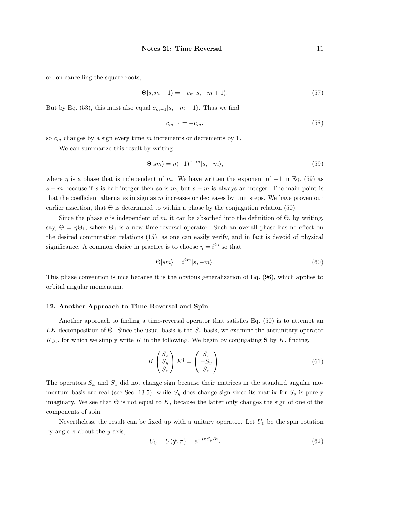or, on cancelling the square roots,

$$
\Theta|s, m-1\rangle = -c_m|s, -m+1\rangle. \tag{57}
$$

But by Eq. (53), this must also equal  $c_{m-1}|s, -m+1\rangle$ . Thus we find

$$
c_{m-1} = -c_m,\tag{58}
$$

so  $c_m$  changes by a sign every time m increments or decrements by 1.

We can summarize this result by writing

$$
\Theta|sm\rangle = \eta(-1)^{s-m}|s,-m\rangle,\tag{59}
$$

where  $\eta$  is a phase that is independent of m. We have written the exponent of  $-1$  in Eq. (59) as s − m because if s is half-integer then so is m, but  $s - m$  is always an integer. The main point is that the coefficient alternates in sign as  $m$  increases or decreases by unit steps. We have proven our earlier assertion, that  $\Theta$  is determined to within a phase by the conjugation relation (50).

Since the phase  $\eta$  is independent of m, it can be absorbed into the definition of  $\Theta$ , by writing, say,  $\Theta = \eta \Theta_1$ , where  $\Theta_1$  is a new time-reversal operator. Such an overall phase has no effect on the desired commutation relations (15), as one can easily verify, and in fact is devoid of physical significance. A common choice in practice is to choose  $\eta = i^{2s}$  so that

$$
\Theta|sm\rangle = i^{2m}|s, -m\rangle. \tag{60}
$$

This phase convention is nice because it is the obvious generalization of Eq. (96), which applies to orbital angular momentum.

### 12. Another Approach to Time Reversal and Spin

Another approach to finding a time-reversal operator that satisfies Eq. (50) is to attempt an LK-decomposition of  $\Theta$ . Since the usual basis is the  $S_z$  basis, we examine the antiunitary operator  $K_{S_z}$ , for which we simply write K in the following. We begin by conjugating S by K, finding,

$$
K\begin{pmatrix} S_x \\ S_y \\ S_z \end{pmatrix} K^{\dagger} = \begin{pmatrix} S_x \\ -S_y \\ S_z \end{pmatrix}.
$$
 (61)

The operators  $S_x$  and  $S_z$  did not change sign because their matrices in the standard angular momentum basis are real (see Sec. 13.5), while  $S_y$  does change sign since its matrix for  $S_y$  is purely imaginary. We see that  $\Theta$  is not equal to K, because the latter only changes the sign of one of the components of spin.

Nevertheless, the result can be fixed up with a unitary operator. Let  $U_0$  be the spin rotation by angle  $\pi$  about the *y*-axis,

$$
U_0 = U(\hat{\mathbf{y}}, \pi) = e^{-i\pi S_y/\hbar}.
$$
\n(62)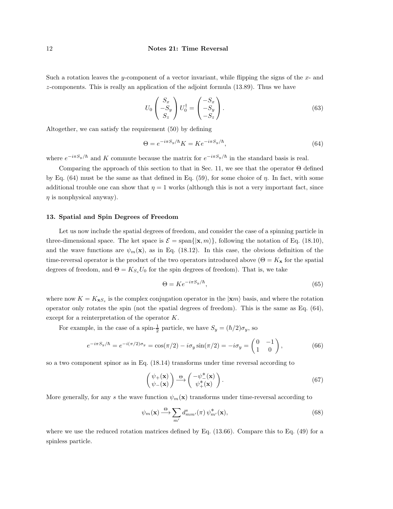Such a rotation leaves the y-component of a vector invariant, while flipping the signs of the  $x$ - and z-components. This is really an application of the adjoint formula (13.89). Thus we have

$$
U_0 \begin{pmatrix} S_x \\ -S_y \\ S_z \end{pmatrix} U_0^{\dagger} = \begin{pmatrix} -S_x \\ -S_y \\ -S_z \end{pmatrix} . \tag{63}
$$

Altogether, we can satisfy the requirement (50) by defining

$$
\Theta = e^{-i\pi S_y/\hbar} K = K e^{-i\pi S_y/\hbar},\tag{64}
$$

where  $e^{-i\pi S_y/\hbar}$  and K commute because the matrix for  $e^{-i\pi S_y/\hbar}$  in the standard basis is real.

Comparing the approach of this section to that in Sec. 11, we see that the operator Θ defined by Eq. (64) must be the same as that defined in Eq. (59), for some choice of  $\eta$ . In fact, with some additional trouble one can show that  $\eta = 1$  works (although this is not a very important fact, since  $\eta$  is nonphysical anyway).

#### 13. Spatial and Spin Degrees of Freedom

Let us now include the spatial degrees of freedom, and consider the case of a spinning particle in three-dimensional space. The ket space is  $\mathcal{E} = \text{span}\{|\mathbf{x}, m\rangle\}$ , following the notation of Eq. (18.10), and the wave functions are  $\psi_m(\mathbf{x})$ , as in Eq. (18.12). In this case, the obvious definition of the time-reversal operator is the product of the two operators introduced above  $(\Theta = K_{\mathbf{x}})$  for the spatial degrees of freedom, and  $\Theta = K_{S_z} U_0$  for the spin degrees of freedom). That is, we take

$$
\Theta = Ke^{-i\pi S_y/\hbar},\tag{65}
$$

where now  $K = K_{\mathbf{x}S_z}$  is the complex conjugation operator in the  $|\mathbf{x}m\rangle$  basis, and where the rotation operator only rotates the spin (not the spatial degrees of freedom). This is the same as Eq. (64), except for a reinterpretation of the operator K.

For example, in the case of a spin- $\frac{1}{2}$  particle, we have  $S_y = (\hbar/2)\sigma_y$ , so

$$
e^{-i\pi S_y/\hbar} = e^{-i(\pi/2)\sigma_y} = \cos(\pi/2) - i\sigma_y \sin(\pi/2) = -i\sigma_y = \begin{pmatrix} 0 & -1 \\ 1 & 0 \end{pmatrix},
$$
(66)

so a two component spinor as in Eq. (18.14) transforms under time reversal according to

$$
\begin{pmatrix} \psi_+(\mathbf{x}) \\ \psi_-(\mathbf{x}) \end{pmatrix} \stackrel{\Theta}{\longrightarrow} \begin{pmatrix} -\psi_-^*(\mathbf{x}) \\ \psi_+^*(\mathbf{x}) \end{pmatrix} . \tag{67}
$$

More generally, for any s the wave function  $\psi_m(\mathbf{x})$  transforms under time-reversal according to

$$
\psi_m(\mathbf{x}) \stackrel{\Theta}{\longrightarrow} \sum_{m'} d^s_{mm'}(\pi) \, \psi^*_{m'}(\mathbf{x}),\tag{68}
$$

where we use the reduced rotation matrices defined by Eq. (13.66). Compare this to Eq. (49) for a spinless particle.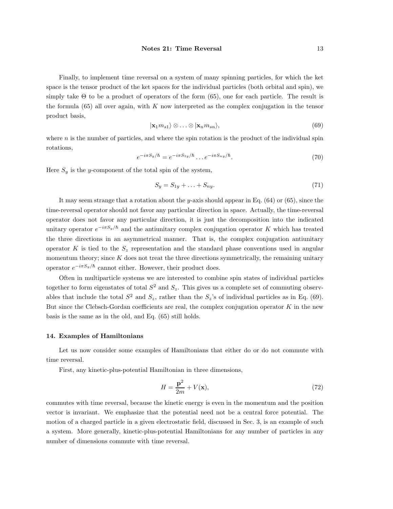Finally, to implement time reversal on a system of many spinning particles, for which the ket space is the tensor product of the ket spaces for the individual particles (both orbital and spin), we simply take  $\Theta$  to be a product of operators of the form (65), one for each particle. The result is the formula  $(65)$  all over again, with K now interpreted as the complex conjugation in the tensor product basis,

$$
|\mathbf{x}_1 m_{s1}\rangle \otimes \ldots \otimes |\mathbf{x}_n m_{sn}\rangle, \tag{69}
$$

where  $n$  is the number of particles, and where the spin rotation is the product of the individual spin rotations,

$$
e^{-i\pi S_y/\hbar} = e^{-i\pi S_{1y}/\hbar} \dots e^{-i\pi S_{ny}/\hbar}.
$$
 (70)

Here  $S_y$  is the y-component of the total spin of the system,

$$
S_y = S_{1y} + \ldots + S_{ny}.\tag{71}
$$

It may seem strange that a rotation about the y-axis should appear in Eq.  $(64)$  or  $(65)$ , since the time-reversal operator should not favor any particular direction in space. Actually, the time-reversal operator does not favor any particular direction, it is just the decomposition into the indicated unitary operator  $e^{-i\pi S_y/\hbar}$  and the antiunitary complex conjugation operator K which has treated the three directions in an asymmetrical manner. That is, the complex conjugation antiunitary operator K is tied to the  $S_z$  representation and the standard phase conventions used in angular momentum theory; since  $K$  does not treat the three directions symmetrically, the remaining unitary operator  $e^{-i\pi S_y/\hbar}$  cannot either. However, their product does.

Often in multiparticle systems we are interested to combine spin states of individual particles together to form eigenstates of total  $S^2$  and  $S_z$ . This gives us a complete set of commuting observables that include the total  $S^2$  and  $S_z$ , rather than the  $S_z$ 's of individual particles as in Eq. (69). But since the Clebsch-Gordan coefficients are real, the complex conjugation operator  $K$  in the new basis is the same as in the old, and Eq. (65) still holds.

### 14. Examples of Hamiltonians

Let us now consider some examples of Hamiltonians that either do or do not commute with time reversal.

First, any kinetic-plus-potential Hamiltonian in three dimensions,

$$
H = \frac{\mathbf{p}^2}{2m} + V(\mathbf{x}),\tag{72}
$$

commutes with time reversal, because the kinetic energy is even in the momentum and the position vector is invariant. We emphasize that the potential need not be a central force potential. The motion of a charged particle in a given electrostatic field, discussed in Sec. 3, is an example of such a system. More generally, kinetic-plus-potential Hamiltonians for any number of particles in any number of dimensions commute with time reversal.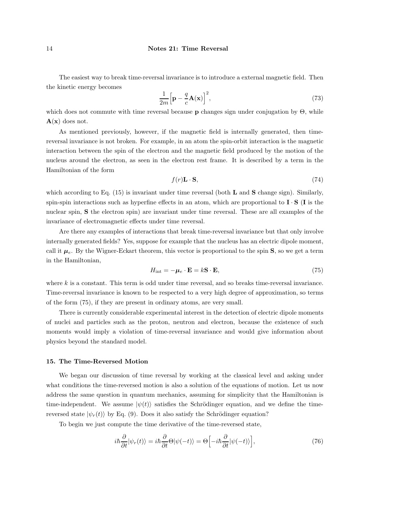The easiest way to break time-reversal invariance is to introduce a external magnetic field. Then the kinetic energy becomes

$$
\frac{1}{2m} \Big[ \mathbf{p} - \frac{q}{c} \mathbf{A}(\mathbf{x}) \Big]^2,\tag{73}
$$

which does not commute with time reversal because **p** changes sign under conjugation by  $\Theta$ , while  $A(x)$  does not.

As mentioned previously, however, if the magnetic field is internally generated, then timereversal invariance is not broken. For example, in an atom the spin-orbit interaction is the magnetic interaction between the spin of the electron and the magnetic field produced by the motion of the nucleus around the electron, as seen in the electron rest frame. It is described by a term in the Hamiltonian of the form

$$
f(r)\mathbf{L}\cdot\mathbf{S},\tag{74}
$$

which according to Eq.  $(15)$  is invariant under time reversal (both **L** and **S** change sign). Similarly, spin-spin interactions such as hyperfine effects in an atom, which are proportional to  $\mathbf{I} \cdot \mathbf{S}$  (I is the nuclear spin, S the electron spin) are invariant under time reversal. These are all examples of the invariance of electromagnetic effects under time reversal.

Are there any examples of interactions that break time-reversal invariance but that only involve internally generated fields? Yes, suppose for example that the nucleus has an electric dipole moment, call it  $\mu_e$ . By the Wigner-Eckart theorem, this vector is proportional to the spin **S**, so we get a term in the Hamiltonian,

$$
H_{\rm int} = -\mu_e \cdot \mathbf{E} = k\mathbf{S} \cdot \mathbf{E},\tag{75}
$$

where  $k$  is a constant. This term is odd under time reversal, and so breaks time-reversal invariance. Time-reversal invariance is known to be respected to a very high degree of approximation, so terms of the form (75), if they are present in ordinary atoms, are very small.

There is currently considerable experimental interest in the detection of electric dipole moments of nuclei and particles such as the proton, neutron and electron, because the existence of such moments would imply a violation of time-reversal invariance and would give information about physics beyond the standard model.

## 15. The Time-Reversed Motion

We began our discussion of time reversal by working at the classical level and asking under what conditions the time-reversed motion is also a solution of the equations of motion. Let us now address the same question in quantum mechanics, assuming for simplicity that the Hamiltonian is time-independent. We assume  $|\psi(t)\rangle$  satisfies the Schrödinger equation, and we define the timereversed state  $|\psi_r(t)\rangle$  by Eq. (9). Does it also satisfy the Schrödinger equation?

To begin we just compute the time derivative of the time-reversed state,

$$
i\hbar \frac{\partial}{\partial t} |\psi_r(t)\rangle = i\hbar \frac{\partial}{\partial t} \Theta |\psi(-t)\rangle = \Theta \Big[-i\hbar \frac{\partial}{\partial t} |\psi(-t)\rangle\Big],\tag{76}
$$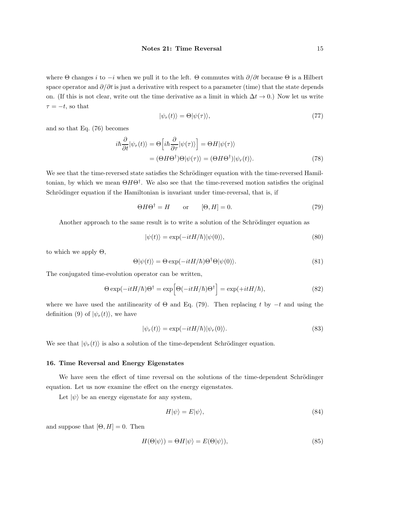where  $\Theta$  changes i to  $-i$  when we pull it to the left.  $\Theta$  commutes with  $\partial/\partial t$  because  $\Theta$  is a Hilbert space operator and  $\partial/\partial t$  is just a derivative with respect to a parameter (time) that the state depends on. (If this is not clear, write out the time derivative as a limit in which  $\Delta t \to 0$ .) Now let us write  $\tau = -t$ , so that

$$
|\psi_r(t)\rangle = \Theta |\psi(\tau)\rangle,\tag{77}
$$

and so that Eq. (76) becomes

$$
i\hbar \frac{\partial}{\partial t} |\psi_r(t)\rangle = \Theta \Big[i\hbar \frac{\partial}{\partial \tau} |\psi(\tau)\rangle \Big] = \Theta H |\psi(\tau)\rangle
$$
  
= 
$$
(\Theta H \Theta^{\dagger}) \Theta |\psi(\tau)\rangle = (\Theta H \Theta^{\dagger}) |\psi_r(t)\rangle.
$$
 (78)

We see that the time-reversed state satisfies the Schrödinger equation with the time-reversed Hamiltonian, by which we mean  $\Theta H \Theta^{\dagger}$ . We also see that the time-reversed motion satisfies the original Schrödinger equation if the Hamiltonian is invariant under time-reversal, that is, if

$$
\Theta H \Theta^{\dagger} = H \qquad \text{or} \qquad [\Theta, H] = 0. \tag{79}
$$

Another approach to the same result is to write a solution of the Schrödinger equation as

$$
|\psi(t)\rangle = \exp(-itH/\hbar)|\psi(0)\rangle,\tag{80}
$$

to which we apply  $\Theta$ ,

$$
\Theta|\psi(t)\rangle = \Theta \exp(-itH/\hbar)\Theta^{\dagger}\Theta|\psi(0)\rangle.
$$
 (81)

The conjugated time-evolution operator can be written,

$$
\Theta \exp(-itH/\hbar)\Theta^{\dagger} = \exp\left[\Theta(-itH/\hbar)\Theta^{\dagger}\right] = \exp(+itH/\hbar),\tag{82}
$$

where we have used the antilinearity of  $\Theta$  and Eq. (79). Then replacing t by  $-t$  and using the definition (9) of  $|\psi_r(t)\rangle$ , we have

$$
|\psi_r(t)\rangle = \exp(-itH/\hbar)|\psi_r(0)\rangle.
$$
\n(83)

We see that  $|\psi_r(t)\rangle$  is also a solution of the time-dependent Schrödinger equation.

#### 16. Time Reversal and Energy Eigenstates

We have seen the effect of time reversal on the solutions of the time-dependent Schrödinger equation. Let us now examine the effect on the energy eigenstates.

Let  $|\psi\rangle$  be an energy eigenstate for any system,

$$
H|\psi\rangle = E|\psi\rangle,\tag{84}
$$

and suppose that  $[\Theta, H] = 0$ . Then

$$
H(\Theta|\psi\rangle) = \Theta H|\psi\rangle = E(\Theta|\psi\rangle),\tag{85}
$$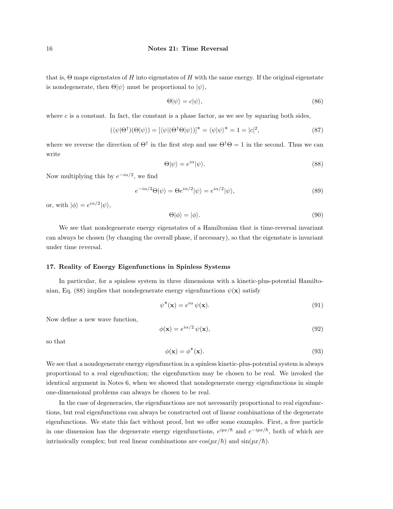that is,  $\Theta$  maps eigenstates of H into eigenstates of H with the same energy. If the original eigenstate is nondegenerate, then  $\Theta|\psi\rangle$  must be proportional to  $|\psi\rangle$ ,

$$
\Theta|\psi\rangle = c|\psi\rangle,\tag{86}
$$

where  $c$  is a constant. In fact, the constant is a phase factor, as we see by squaring both sides,

$$
(\langle \psi | \Theta^{\dagger}) (\Theta | \psi \rangle) = [\langle \psi | (\Theta^{\dagger} \Theta | \psi \rangle)]^* = \langle \psi | \psi \rangle^* = 1 = |c|^2, \tag{87}
$$

where we reverse the direction of  $\Theta^{\dagger}$  in the first step and use  $\Theta^{\dagger}\Theta = 1$  in the second. Thus we can write

$$
\Theta|\psi\rangle = e^{i\alpha}|\psi\rangle. \tag{88}
$$

Now multiplying this by  $e^{-i\alpha/2}$ , we find

$$
e^{-i\alpha/2}\Theta|\psi\rangle = \Theta e^{i\alpha/2}|\psi\rangle = e^{i\alpha/2}|\psi\rangle,\tag{89}
$$

or, with  $|\phi\rangle = e^{i\alpha/2}|\psi\rangle$ ,

$$
\Theta|\phi\rangle = |\phi\rangle. \tag{90}
$$

We see that nondegenerate energy eigenstates of a Hamiltonian that is time-reversal invariant can always be chosen (by changing the overall phase, if necessary), so that the eigenstate is invariant under time reversal.

### 17. Reality of Energy Eigenfunctions in Spinless Systems

In particular, for a spinless system in three dimensions with a kinetic-plus-potential Hamiltonian, Eq. (88) implies that nondegenerate energy eigenfunctions  $\psi(\mathbf{x})$  satisfy

$$
\psi^*(\mathbf{x}) = e^{i\alpha} \psi(\mathbf{x}).\tag{91}
$$

Now define a new wave function,

$$
\phi(\mathbf{x}) = e^{i\alpha/2} \psi(\mathbf{x}),\tag{92}
$$

so that

$$
\phi(\mathbf{x}) = \phi^*(\mathbf{x}).\tag{93}
$$

We see that a nondegenerate energy eigenfunction in a spinless kinetic-plus-potential system is always proportional to a real eigenfunction; the eigenfunction may be chosen to be real. We invoked the identical argument in Notes 6, when we showed that nondegenerate energy eigenfunctions in simple one-dimensional problems can always be chosen to be real.

In the case of degeneracies, the eigenfunctions are not necessarily proportional to real eigenfunctions, but real eigenfunctions can always be constructed out of linear combinations of the degenerate eigenfunctions. We state this fact without proof, but we offer some examples. First, a free particle in one dimension has the degenerate energy eigenfunctions,  $e^{ipx/\hbar}$  and  $e^{-ipx/\hbar}$ , both of which are intrinsically complex; but real linear combinations are  $\cos(px/\hbar)$  and  $\sin(px/\hbar)$ .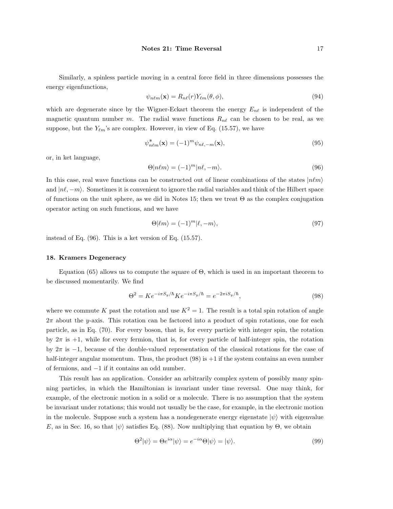Similarly, a spinless particle moving in a central force field in three dimensions possesses the energy eigenfunctions,

$$
\psi_{n\ell m}(\mathbf{x}) = R_{n\ell}(r) Y_{\ell m}(\theta, \phi),\tag{94}
$$

which are degenerate since by the Wigner-Eckart theorem the energy  $E_{n\ell}$  is independent of the magnetic quantum number m. The radial wave functions  $R_{n\ell}$  can be chosen to be real, as we suppose, but the  $Y_{\ell m}$ 's are complex. However, in view of Eq. (15.57), we have

$$
\psi_{n\ell m}^*(\mathbf{x}) = (-1)^m \psi_{n\ell,-m}(\mathbf{x}),\tag{95}
$$

or, in ket language,

$$
\Theta|n\ell m\rangle = (-1)^m |n\ell, -m\rangle. \tag{96}
$$

In this case, real wave functions can be constructed out of linear combinations of the states  $|n\ell m\rangle$ and  $|n\ell, -m\rangle$ . Sometimes it is convenient to ignore the radial variables and think of the Hilbert space of functions on the unit sphere, as we did in Notes 15; then we treat Θ as the complex conjugation operator acting on such functions, and we have

$$
\Theta|\ell m\rangle = (-1)^m |\ell, -m\rangle,\tag{97}
$$

instead of Eq. (96). This is a ket version of Eq. (15.57).

### 18. Kramers Degeneracy

Equation (65) allows us to compute the square of  $\Theta$ , which is used in an important theorem to be discussed momentarily. We find

$$
\Theta^2 = K e^{-i\pi S_y/\hbar} K e^{-i\pi S_y/\hbar} = e^{-2\pi i S_y/\hbar},\tag{98}
$$

where we commute K past the rotation and use  $K^2 = 1$ . The result is a total spin rotation of angle  $2\pi$  about the y-axis. This rotation can be factored into a product of spin rotations, one for each particle, as in Eq. (70). For every boson, that is, for every particle with integer spin, the rotation by  $2\pi$  is  $+1$ , while for every fermion, that is, for every particle of half-integer spin, the rotation by  $2\pi$  is  $-1$ , because of the double-valued representation of the classical rotations for the case of half-integer angular momentum. Thus, the product  $(98)$  is  $+1$  if the system contains an even number of fermions, and −1 if it contains an odd number.

This result has an application. Consider an arbitrarily complex system of possibly many spinning particles, in which the Hamiltonian is invariant under time reversal. One may think, for example, of the electronic motion in a solid or a molecule. There is no assumption that the system be invariant under rotations; this would not usually be the case, for example, in the electronic motion in the molecule. Suppose such a system has a nondegenerate energy eigenstate  $|\psi\rangle$  with eigenvalue E, as in Sec. 16, so that  $|\psi\rangle$  satisfies Eq. (88). Now multiplying that equation by  $\Theta$ , we obtain

$$
\Theta^2|\psi\rangle = \Theta e^{i\alpha}|\psi\rangle = e^{-i\alpha}\Theta|\psi\rangle = |\psi\rangle.
$$
\n(99)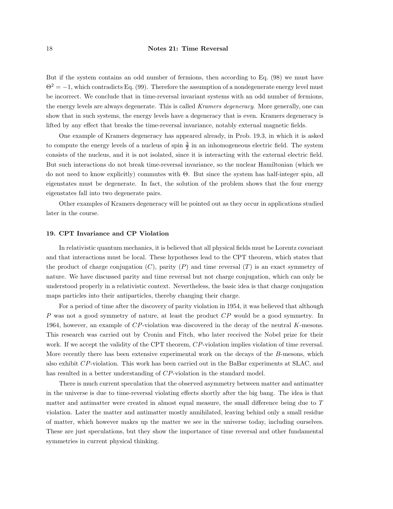But if the system contains an odd number of fermions, then according to Eq. (98) we must have  $\Theta^2 = -1$ , which contradicts Eq. (99). Therefore the assumption of a nondegenerate energy level must be incorrect. We conclude that in time-reversal invariant systems with an odd number of fermions, the energy levels are always degenerate. This is called Kramers degeneracy. More generally, one can show that in such systems, the energy levels have a degeneracy that is even. Kramers degeneracy is lifted by any effect that breaks the time-reversal invariance, notably external magnetic fields.

One example of Kramers degeneracy has appeared already, in Prob. 19.3, in which it is asked to compute the energy levels of a nucleus of spin  $\frac{3}{2}$  in an inhomogeneous electric field. The system consists of the nucleus, and it is not isolated, since it is interacting with the external electric field. But such interactions do not break time-reversal invariance, so the nuclear Hamiltonian (which we do not need to know explicitly) commutes with Θ. But since the system has half-integer spin, all eigenstates must be degenerate. In fact, the solution of the problem shows that the four energy eigenstates fall into two degenerate pairs.

Other examples of Kramers degeneracy will be pointed out as they occur in applications studied later in the course.

### 19. CPT Invariance and CP Violation

In relativistic quantum mechanics, it is believed that all physical fields must be Lorentz covariant and that interactions must be local. These hypotheses lead to the CPT theorem, which states that the product of charge conjugation  $(C)$ , parity  $(P)$  and time reversal  $(T)$  is an exact symmetry of nature. We have discussed parity and time reversal but not charge conjugation, which can only be understood properly in a relativistic context. Nevertheless, the basic idea is that charge conjugation maps particles into their antiparticles, thereby changing their charge.

For a period of time after the discovery of parity violation in 1954, it was believed that although P was not a good symmetry of nature, at least the product CP would be a good symmetry. In 1964, however, an example of CP-violation was discovered in the decay of the neutral K-mesons. This research was carried out by Cronin and Fitch, who later received the Nobel prize for their work. If we accept the validity of the CPT theorem, CP-violation implies violation of time reversal. More recently there has been extensive experimental work on the decays of the B-mesons, which also exhibit CP-violation. This work has been carried out in the BaBar experiments at SLAC, and has resulted in a better understanding of CP-violation in the standard model.

There is much current speculation that the observed asymmetry between matter and antimatter in the universe is due to time-reversal violating effects shortly after the big bang. The idea is that matter and antimatter were created in almost equal measure, the small difference being due to T violation. Later the matter and antimatter mostly annihilated, leaving behind only a small residue of matter, which however makes up the matter we see in the universe today, including ourselves. These are just speculations, but they show the importance of time reversal and other fundamental symmetries in current physical thinking.